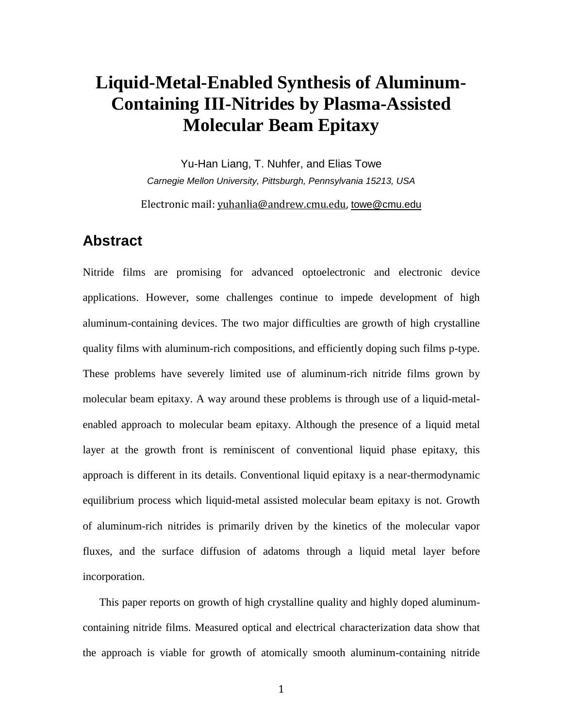## **Liquid-Metal-Enabled Synthesis of Aluminum-Containing III-Nitrides by Plasma-Assisted Molecular Beam Epitaxy**

Yu-Han Liang, T. Nuhfer, and Elias Towe *Carnegie Mellon University, Pittsburgh, Pennsylvania 15213, USA*

Electronic mail: [yuhanlia@andrew.cmu.edu,](mailto:yuhanlia@andrew.cmu.edu) [towe@cmu.edu](mailto:towe@cmu.edu)

## **Abstract**

Nitride films are promising for advanced optoelectronic and electronic device applications. However, some challenges continue to impede development of high aluminum-containing devices. The two major difficulties are growth of high crystalline quality films with aluminum-rich compositions, and efficiently doping such films p-type. These problems have severely limited use of aluminum-rich nitride films grown by molecular beam epitaxy. A way around these problems is through use of a liquid-metalenabled approach to molecular beam epitaxy. Although the presence of a liquid metal layer at the growth front is reminiscent of conventional liquid phase epitaxy, this approach is different in its details. Conventional liquid epitaxy is a near-thermodynamic equilibrium process which liquid-metal assisted molecular beam epitaxy is not. Growth of aluminum-rich nitrides is primarily driven by the kinetics of the molecular vapor fluxes, and the surface diffusion of adatoms through a liquid metal layer before incorporation.

This paper reports on growth of high crystalline quality and highly doped aluminumcontaining nitride films. Measured optical and electrical characterization data show that the approach is viable for growth of atomically smooth aluminum-containing nitride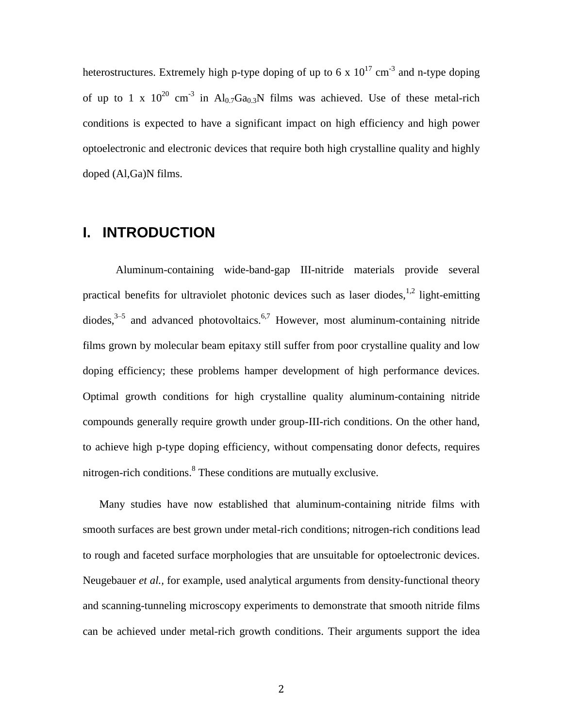heterostructures. Extremely high p-type doping of up to 6 x  $10^{17}$  cm<sup>-3</sup> and n-type doping of up to 1 x  $10^{20}$  cm<sup>-3</sup> in Al<sub>0.7</sub>Ga<sub>0.3</sub>N films was achieved. Use of these metal-rich conditions is expected to have a significant impact on high efficiency and high power optoelectronic and electronic devices that require both high crystalline quality and highly doped (Al,Ga)N films.

## **I. INTRODUCTION**

Aluminum-containing wide-band-gap III-nitride materials provide several practical benefits for ultraviolet photonic devices such as laser diodes,  $1,2$  light-emitting diodes, $3-5$  and advanced photovoltaics.<sup>6,7</sup> However, most aluminum-containing nitride films grown by molecular beam epitaxy still suffer from poor crystalline quality and low doping efficiency; these problems hamper development of high performance devices. Optimal growth conditions for high crystalline quality aluminum-containing nitride compounds generally require growth under group-III-rich conditions. On the other hand, to achieve high p-type doping efficiency, without compensating donor defects, requires nitrogen-rich conditions.<sup>8</sup> These conditions are mutually exclusive.

Many studies have now established that aluminum-containing nitride films with smooth surfaces are best grown under metal-rich conditions; nitrogen-rich conditions lead to rough and faceted surface morphologies that are unsuitable for optoelectronic devices. Neugebauer *et al.,* for example, used analytical arguments from density-functional theory and scanning-tunneling microscopy experiments to demonstrate that smooth nitride films can be achieved under metal-rich growth conditions. Their arguments support the idea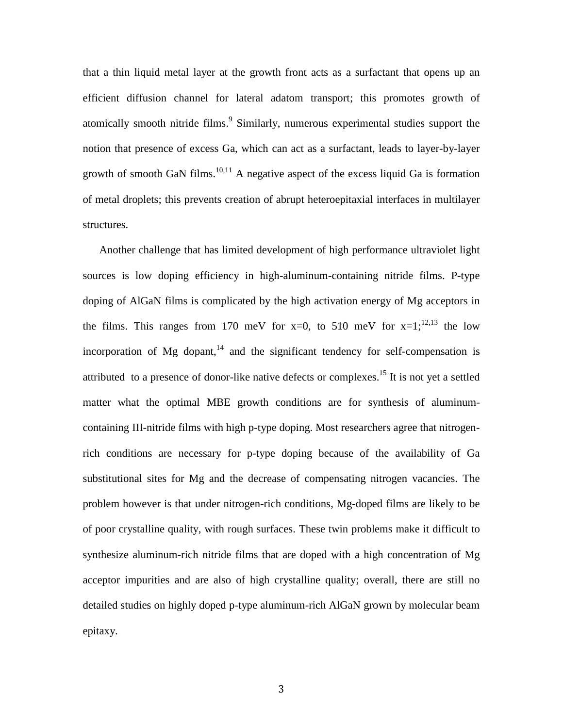that a thin liquid metal layer at the growth front acts as a surfactant that opens up an efficient diffusion channel for lateral adatom transport; this promotes growth of atomically smooth nitride films.<sup>9</sup> Similarly, numerous experimental studies support the notion that presence of excess Ga, which can act as a surfactant, leads to layer-by-layer growth of smooth GaN films.<sup>10,11</sup> A negative aspect of the excess liquid Ga is formation of metal droplets; this prevents creation of abrupt heteroepitaxial interfaces in multilayer structures.

Another challenge that has limited development of high performance ultraviolet light sources is low doping efficiency in high-aluminum-containing nitride films. P-type doping of AlGaN films is complicated by the high activation energy of Mg acceptors in the films. This ranges from 170 meV for  $x=0$ , to 510 meV for  $x=1$ ;  $(2,1)^3$  the low incorporation of Mg dopant,  $14$  and the significant tendency for self-compensation is attributed to a presence of donor-like native defects or complexes.<sup>15</sup> It is not yet a settled matter what the optimal MBE growth conditions are for synthesis of aluminumcontaining III-nitride films with high p-type doping. Most researchers agree that nitrogenrich conditions are necessary for p-type doping because of the availability of Ga substitutional sites for Mg and the decrease of compensating nitrogen vacancies. The problem however is that under nitrogen-rich conditions, Mg-doped films are likely to be of poor crystalline quality, with rough surfaces. These twin problems make it difficult to synthesize aluminum-rich nitride films that are doped with a high concentration of Mg acceptor impurities and are also of high crystalline quality; overall, there are still no detailed studies on highly doped p-type aluminum-rich AlGaN grown by molecular beam epitaxy.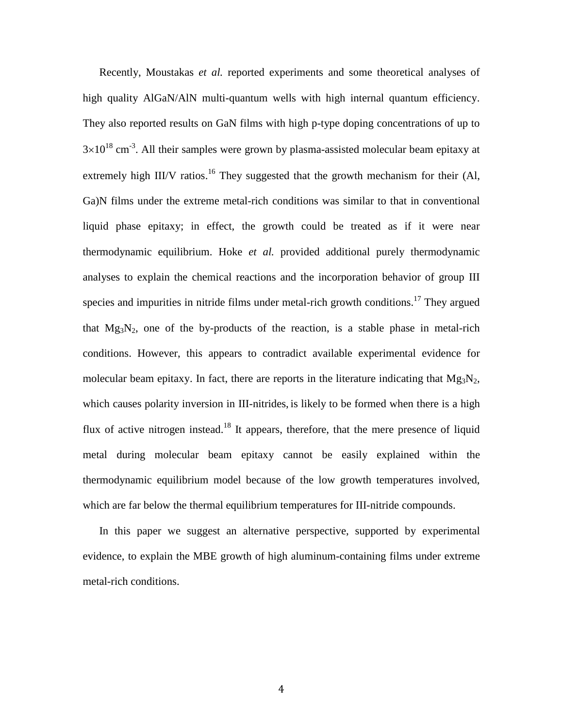Recently, Moustakas *et al.* reported experiments and some theoretical analyses of high quality AlGaN/AlN multi-quantum wells with high internal quantum efficiency. They also reported results on GaN films with high p-type doping concentrations of up to  $3\times10^{18}$  cm<sup>-3</sup>. All their samples were grown by plasma-assisted molecular beam epitaxy at extremely high III/V ratios.<sup>16</sup> They suggested that the growth mechanism for their (Al, Ga)N films under the extreme metal-rich conditions was similar to that in conventional liquid phase epitaxy; in effect, the growth could be treated as if it were near thermodynamic equilibrium. Hoke *et al.* provided additional purely thermodynamic analyses to explain the chemical reactions and the incorporation behavior of group III species and impurities in nitride films under metal-rich growth conditions.<sup>17</sup> They argued that  $Mg_3N_2$ , one of the by-products of the reaction, is a stable phase in metal-rich conditions. However, this appears to contradict available experimental evidence for molecular beam epitaxy. In fact, there are reports in the literature indicating that  $Mg_3N_2$ , which causes polarity inversion in III-nitrides, is likely to be formed when there is a high flux of active nitrogen instead.<sup>18</sup> It appears, therefore, that the mere presence of liquid metal during molecular beam epitaxy cannot be easily explained within the thermodynamic equilibrium model because of the low growth temperatures involved, which are far below the thermal equilibrium temperatures for III-nitride compounds.

In this paper we suggest an alternative perspective, supported by experimental evidence, to explain the MBE growth of high aluminum-containing films under extreme metal-rich conditions.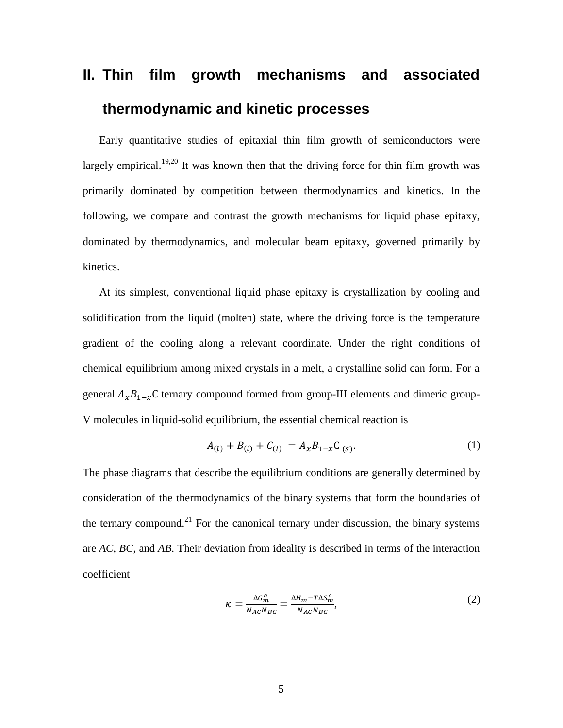# **II. Thin film growth mechanisms and associated thermodynamic and kinetic processes**

Early quantitative studies of epitaxial thin film growth of semiconductors were largely empirical.<sup>19,20</sup> It was known then that the driving force for thin film growth was primarily dominated by competition between thermodynamics and kinetics. In the following, we compare and contrast the growth mechanisms for liquid phase epitaxy, dominated by thermodynamics, and molecular beam epitaxy, governed primarily by kinetics.

At its simplest, conventional liquid phase epitaxy is crystallization by cooling and solidification from the liquid (molten) state, where the driving force is the temperature gradient of the cooling along a relevant coordinate. Under the right conditions of chemical equilibrium among mixed crystals in a melt, a crystalline solid can form. For a general  $A_{\alpha}B_{1-\alpha}C$  ternary compound formed from group-III elements and dimeric group-V molecules in liquid-solid equilibrium, the essential chemical reaction is

$$
A_{(l)} + B_{(l)} + C_{(l)} = A_x B_{1-x} C_{(s)}.
$$
 (1)

The phase diagrams that describe the equilibrium conditions are generally determined by consideration of the thermodynamics of the binary systems that form the boundaries of the ternary compound.<sup>21</sup> For the canonical ternary under discussion, the binary systems are *AC*, *BC*, and *AB*. Their deviation from ideality is described in terms of the interaction coefficient

$$
\kappa = \frac{\Delta G_m^e}{N_{AC}N_{BC}} = \frac{\Delta H_m - T\Delta S_m^e}{N_{AC}N_{BC}},\tag{2}
$$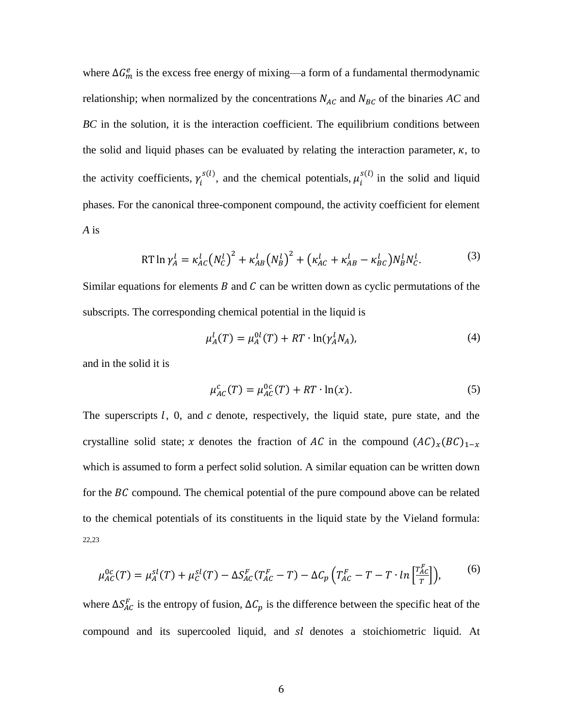where  $\Delta G_m^e$  is the excess free energy of mixing—a form of a fundamental thermodynamic relationship; when normalized by the concentrations  $N_{AC}$  and  $N_{BC}$  of the binaries  $AC$  and *BC* in the solution, it is the interaction coefficient. The equilibrium conditions between the solid and liquid phases can be evaluated by relating the interaction parameter,  $\kappa$ , to the activity coefficients,  $\gamma_i^{s(l)}$ , and the chemical potentials,  $\mu_i^{s(l)}$  in the solid and liquid phases. For the canonical three-component compound, the activity coefficient for element *A* is

RT 
$$
\ln \gamma_A^l = \kappa_{AC}^l (N_C^l)^2 + \kappa_{AB}^l (N_B^l)^2 + (\kappa_{AC}^l + \kappa_{AB}^l - \kappa_{BC}^l) N_B^l N_C^l.
$$
 (3)

Similar equations for elements  $B$  and  $C$  can be written down as cyclic permutations of the subscripts. The corresponding chemical potential in the liquid is

$$
\mu_A^l(T) = \mu_A^{0l}(T) + RT \cdot \ln(\gamma_A^l N_A), \tag{4}
$$

and in the solid it is

$$
\mu_{AC}^c(T) = \mu_{AC}^{0c}(T) + RT \cdot \ln(x). \tag{5}
$$

The superscripts  $l$ , 0, and  $c$  denote, respectively, the liquid state, pure state, and the crystalline solid state; x denotes the fraction of AC in the compound  $(AC)_x(BC)_{1-x}$ which is assumed to form a perfect solid solution. A similar equation can be written down for the  $BC$  compound. The chemical potential of the pure compound above can be related to the chemical potentials of its constituents in the liquid state by the Vieland formula: 22,23

$$
\mu_{AC}^{0c}(T) = \mu_A^{sl}(T) + \mu_C^{sl}(T) - \Delta S_{AC}^F(T_{AC}^F - T) - \Delta C_p \left( T_{AC}^F - T - T \cdot \ln \left[ \frac{T_{AC}^F}{T} \right] \right),\tag{6}
$$

where  $\Delta S_{AC}^F$  is the entropy of fusion,  $\Delta C_p$  is the difference between the specific heat of the compound and its supercooled liquid, and  $sl$  denotes a stoichiometric liquid. At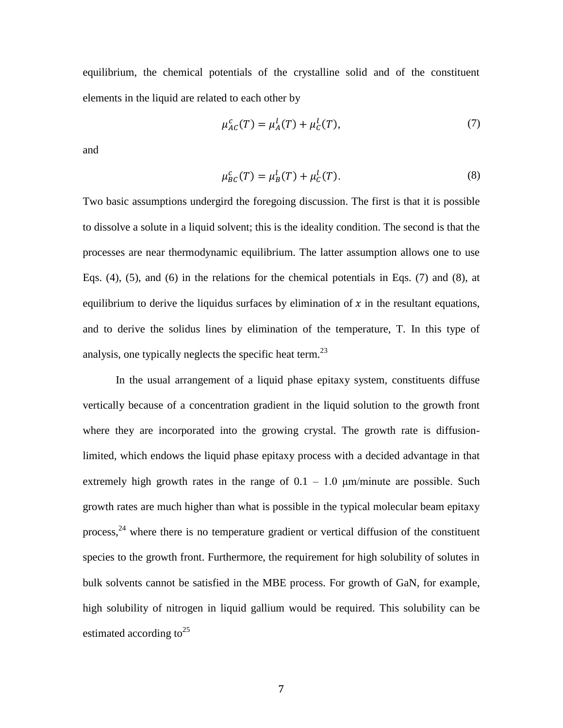equilibrium, the chemical potentials of the crystalline solid and of the constituent elements in the liquid are related to each other by

$$
\mu_{AC}^c(T) = \mu_A^l(T) + \mu_C^l(T),\tag{7}
$$

and

$$
\mu_{BC}^c(T) = \mu_B^l(T) + \mu_C^l(T). \tag{8}
$$

Two basic assumptions undergird the foregoing discussion. The first is that it is possible to dissolve a solute in a liquid solvent; this is the ideality condition. The second is that the processes are near thermodynamic equilibrium. The latter assumption allows one to use Eqs. (4), (5), and (6) in the relations for the chemical potentials in Eqs. (7) and (8), at equilibrium to derive the liquidus surfaces by elimination of  $x$  in the resultant equations, and to derive the solidus lines by elimination of the temperature, T. In this type of analysis, one typically neglects the specific heat term.<sup>23</sup>

In the usual arrangement of a liquid phase epitaxy system, constituents diffuse vertically because of a concentration gradient in the liquid solution to the growth front where they are incorporated into the growing crystal. The growth rate is diffusionlimited, which endows the liquid phase epitaxy process with a decided advantage in that extremely high growth rates in the range of  $0.1 - 1.0$   $\mu$ m/minute are possible. Such growth rates are much higher than what is possible in the typical molecular beam epitaxy process,  $24$  where there is no temperature gradient or vertical diffusion of the constituent species to the growth front. Furthermore, the requirement for high solubility of solutes in bulk solvents cannot be satisfied in the MBE process. For growth of GaN, for example, high solubility of nitrogen in liquid gallium would be required. This solubility can be estimated according to<sup>25</sup>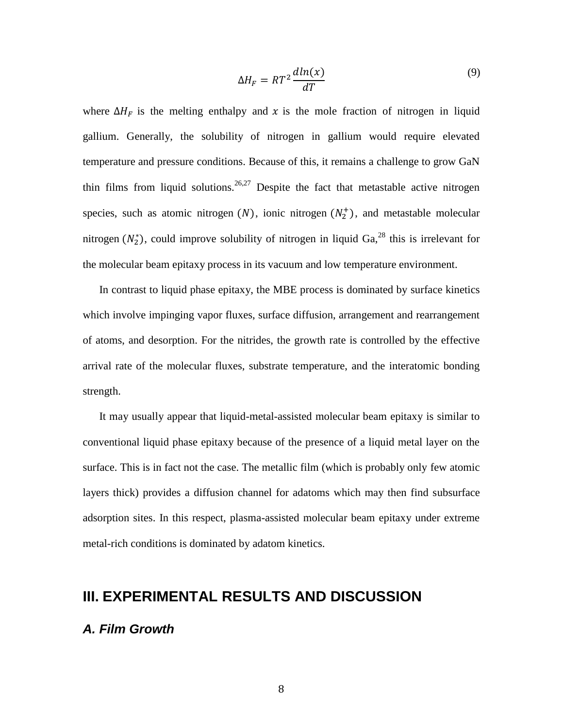$$
\Delta H_F = RT^2 \frac{dln(x)}{dT} \tag{9}
$$

where  $\Delta H_F$  is the melting enthalpy and x is the mole fraction of nitrogen in liquid gallium. Generally, the solubility of nitrogen in gallium would require elevated temperature and pressure conditions. Because of this, it remains a challenge to grow GaN thin films from liquid solutions.<sup>26,27</sup> Despite the fact that metastable active nitrogen species, such as atomic nitrogen  $(N)$ , ionic nitrogen  $(N_2^+)$ , and metastable molecular nitrogen  $(N_2^*)$ , could improve solubility of nitrogen in liquid Ga,<sup>28</sup> this is irrelevant for the molecular beam epitaxy process in its vacuum and low temperature environment.

In contrast to liquid phase epitaxy, the MBE process is dominated by surface kinetics which involve impinging vapor fluxes, surface diffusion, arrangement and rearrangement of atoms, and desorption. For the nitrides, the growth rate is controlled by the effective arrival rate of the molecular fluxes, substrate temperature, and the interatomic bonding strength.

It may usually appear that liquid-metal-assisted molecular beam epitaxy is similar to conventional liquid phase epitaxy because of the presence of a liquid metal layer on the surface. This is in fact not the case. The metallic film (which is probably only few atomic layers thick) provides a diffusion channel for adatoms which may then find subsurface adsorption sites. In this respect, plasma-assisted molecular beam epitaxy under extreme metal-rich conditions is dominated by adatom kinetics.

## **III. EXPERIMENTAL RESULTS AND DISCUSSION**

#### *A. Film Growth*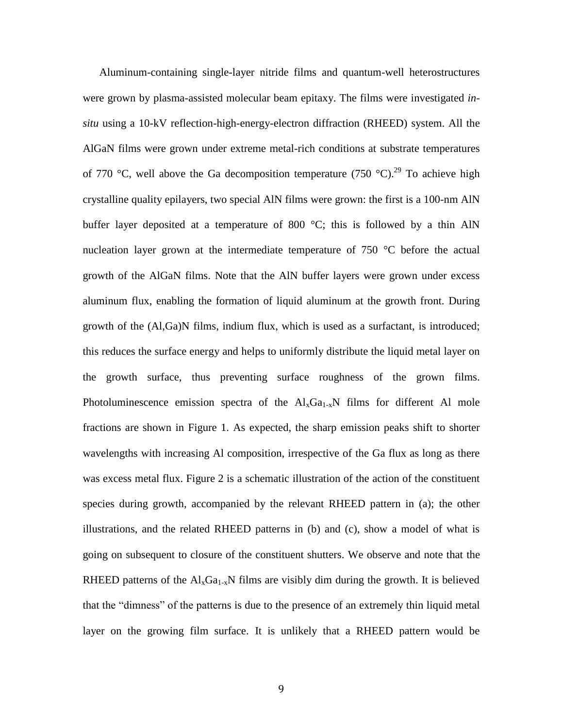Aluminum-containing single-layer nitride films and quantum-well heterostructures were grown by plasma-assisted molecular beam epitaxy. The films were investigated *insitu* using a 10-kV reflection-high-energy-electron diffraction (RHEED) system. All the AlGaN films were grown under extreme metal-rich conditions at substrate temperatures of 770 °C, well above the Ga decomposition temperature (750 °C).<sup>29</sup> To achieve high crystalline quality epilayers, two special AlN films were grown: the first is a 100-nm AlN buffer layer deposited at a temperature of 800  $^{\circ}$ C; this is followed by a thin AlN nucleation layer grown at the intermediate temperature of 750 °C before the actual growth of the AlGaN films. Note that the AlN buffer layers were grown under excess aluminum flux, enabling the formation of liquid aluminum at the growth front. During growth of the (Al,Ga)N films, indium flux, which is used as a surfactant, is introduced; this reduces the surface energy and helps to uniformly distribute the liquid metal layer on the growth surface, thus preventing surface roughness of the grown films. Photoluminescence emission spectra of the  $\text{Al}_x\text{Ga}_{1-x}\text{N}$  films for different Al mole fractions are shown in Figure 1. As expected, the sharp emission peaks shift to shorter wavelengths with increasing Al composition, irrespective of the Ga flux as long as there was excess metal flux. Figure 2 is a schematic illustration of the action of the constituent species during growth, accompanied by the relevant RHEED pattern in (a); the other illustrations, and the related RHEED patterns in (b) and (c), show a model of what is going on subsequent to closure of the constituent shutters. We observe and note that the RHEED patterns of the  $Al_xGa_{1-x}N$  films are visibly dim during the growth. It is believed that the "dimness" of the patterns is due to the presence of an extremely thin liquid metal layer on the growing film surface. It is unlikely that a RHEED pattern would be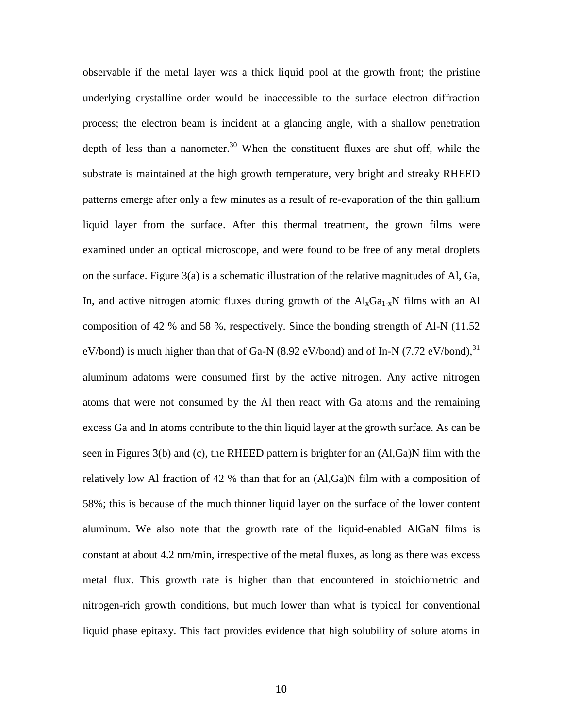observable if the metal layer was a thick liquid pool at the growth front; the pristine underlying crystalline order would be inaccessible to the surface electron diffraction process; the electron beam is incident at a glancing angle, with a shallow penetration depth of less than a nanometer.<sup>30</sup> When the constituent fluxes are shut off, while the substrate is maintained at the high growth temperature, very bright and streaky RHEED patterns emerge after only a few minutes as a result of re-evaporation of the thin gallium liquid layer from the surface. After this thermal treatment, the grown films were examined under an optical microscope, and were found to be free of any metal droplets on the surface. Figure  $3(a)$  is a schematic illustration of the relative magnitudes of Al, Ga, In, and active nitrogen atomic fluxes during growth of the  $Al_xGa_{1-x}N$  films with an Al composition of 42 % and 58 %, respectively. Since the bonding strength of Al-N (11.52 eV/bond) is much higher than that of Ga-N (8.92 eV/bond) and of In-N (7.72 eV/bond),  $31$ aluminum adatoms were consumed first by the active nitrogen. Any active nitrogen atoms that were not consumed by the Al then react with Ga atoms and the remaining excess Ga and In atoms contribute to the thin liquid layer at the growth surface. As can be seen in Figures 3(b) and (c), the RHEED pattern is brighter for an (Al,Ga)N film with the relatively low Al fraction of 42 % than that for an  $(Al,Ga)N$  film with a composition of 58%; this is because of the much thinner liquid layer on the surface of the lower content aluminum. We also note that the growth rate of the liquid-enabled AlGaN films is constant at about 4.2 nm/min, irrespective of the metal fluxes, as long as there was excess metal flux. This growth rate is higher than that encountered in stoichiometric and nitrogen-rich growth conditions, but much lower than what is typical for conventional liquid phase epitaxy. This fact provides evidence that high solubility of solute atoms in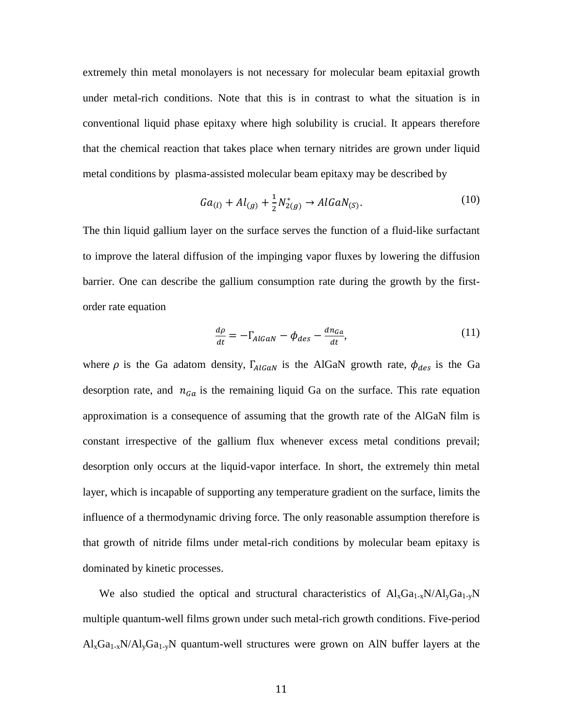extremely thin metal monolayers is not necessary for molecular beam epitaxial growth under metal-rich conditions. Note that this is in contrast to what the situation is in conventional liquid phase epitaxy where high solubility is crucial. It appears therefore that the chemical reaction that takes place when ternary nitrides are grown under liquid metal conditions by plasma-assisted molecular beam epitaxy may be described by

$$
Ga_{(l)} + Al_{(g)} + \frac{1}{2}N_{2(g)}^* \to AlGaN_{(S)}.
$$
 (10)

The thin liquid gallium layer on the surface serves the function of a fluid-like surfactant to improve the lateral diffusion of the impinging vapor fluxes by lowering the diffusion barrier. One can describe the gallium consumption rate during the growth by the firstorder rate equation

$$
\frac{d\rho}{dt} = -\Gamma_{AlGaN} - \phi_{des} - \frac{dn_{Ga}}{dt},\tag{11}
$$

where  $\rho$  is the Ga adatom density,  $\Gamma_{AlGaN}$  is the AlGaN growth rate,  $\phi_{des}$  is the Ga desorption rate, and  $n_{Ga}$  is the remaining liquid Ga on the surface. This rate equation approximation is a consequence of assuming that the growth rate of the AlGaN film is constant irrespective of the gallium flux whenever excess metal conditions prevail; desorption only occurs at the liquid-vapor interface. In short, the extremely thin metal layer, which is incapable of supporting any temperature gradient on the surface, limits the influence of a thermodynamic driving force. The only reasonable assumption therefore is that growth of nitride films under metal-rich conditions by molecular beam epitaxy is dominated by kinetic processes.

We also studied the optical and structural characteristics of  $Al_xGa_{1-x}N/Al_yGa_{1-y}N$ multiple quantum-well films grown under such metal-rich growth conditions. Five-period  $\text{Al}_{x}\text{Ga}_{1-x}\text{N}/\text{Al}_{y}\text{Ga}_{1-y}\text{N}$  quantum-well structures were grown on AlN buffer layers at the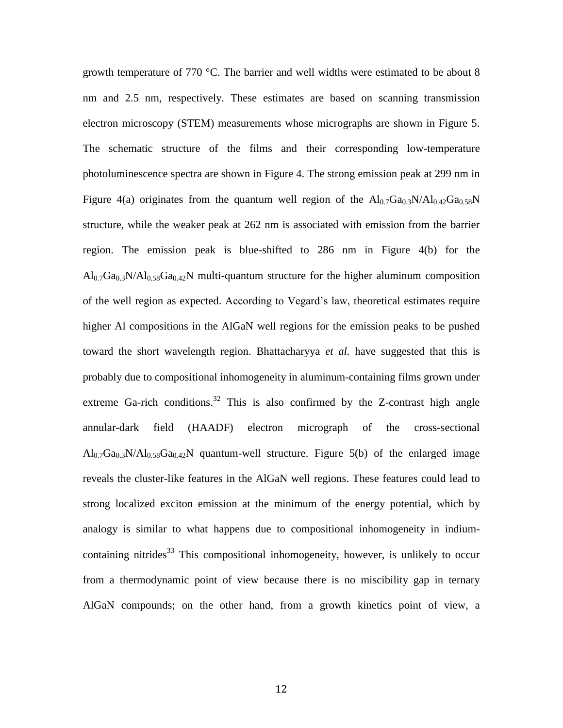growth temperature of 770 °C. The barrier and well widths were estimated to be about 8 nm and 2.5 nm, respectively. These estimates are based on scanning transmission electron microscopy (STEM) measurements whose micrographs are shown in Figure 5. The schematic structure of the films and their corresponding low-temperature photoluminescence spectra are shown in Figure 4. The strong emission peak at 299 nm in Figure 4(a) originates from the quantum well region of the  $Al_{0.7}Ga_{0.3}N/Al_{0.42}Ga_{0.58}N$ structure, while the weaker peak at 262 nm is associated with emission from the barrier region. The emission peak is blue-shifted to 286 nm in Figure 4(b) for the  $\text{Al}_0$ <sub>7</sub>Ga<sub>0.3</sub>N/Al<sub>0.58</sub>Ga<sub>0.42</sub>N multi-quantum structure for the higher aluminum composition of the well region as expected. According to Vegard's law, theoretical estimates require higher Al compositions in the AlGaN well regions for the emission peaks to be pushed toward the short wavelength region. Bhattacharyya *et al.* have suggested that this is probably due to compositional inhomogeneity in aluminum-containing films grown under extreme Ga-rich conditions.<sup>32</sup> This is also confirmed by the Z-contrast high angle annular-dark field (HAADF) electron micrograph of the cross-sectional  $\text{Al}_{0.7}\text{Ga}_{0.3}\text{N}/\text{Al}_{0.58}\text{Ga}_{0.42}\text{N}$  quantum-well structure. Figure 5(b) of the enlarged image reveals the cluster-like features in the AlGaN well regions. These features could lead to strong localized exciton emission at the minimum of the energy potential, which by analogy is similar to what happens due to compositional inhomogeneity in indiumcontaining nitrides<sup>33</sup> This compositional inhomogeneity, however, is unlikely to occur from a thermodynamic point of view because there is no miscibility gap in ternary AlGaN compounds; on the other hand, from a growth kinetics point of view, a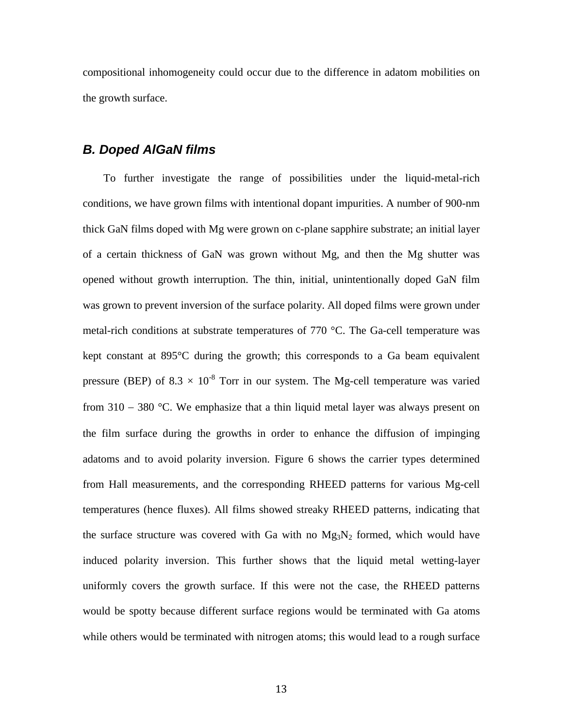compositional inhomogeneity could occur due to the difference in adatom mobilities on the growth surface.

#### *B. Doped AlGaN films*

To further investigate the range of possibilities under the liquid-metal-rich conditions, we have grown films with intentional dopant impurities. A number of 900-nm thick GaN films doped with Mg were grown on c-plane sapphire substrate; an initial layer of a certain thickness of GaN was grown without Mg, and then the Mg shutter was opened without growth interruption. The thin, initial, unintentionally doped GaN film was grown to prevent inversion of the surface polarity. All doped films were grown under metal-rich conditions at substrate temperatures of 770 °C. The Ga-cell temperature was kept constant at 895°C during the growth; this corresponds to a Ga beam equivalent pressure (BEP) of 8.3  $\times$  10<sup>-8</sup> Torr in our system. The Mg-cell temperature was varied from  $310 - 380$  °C. We emphasize that a thin liquid metal layer was always present on the film surface during the growths in order to enhance the diffusion of impinging adatoms and to avoid polarity inversion. Figure 6 shows the carrier types determined from Hall measurements, and the corresponding RHEED patterns for various Mg-cell temperatures (hence fluxes). All films showed streaky RHEED patterns, indicating that the surface structure was covered with Ga with no  $Mg_3N_2$  formed, which would have induced polarity inversion. This further shows that the liquid metal wetting-layer uniformly covers the growth surface. If this were not the case, the RHEED patterns would be spotty because different surface regions would be terminated with Ga atoms while others would be terminated with nitrogen atoms; this would lead to a rough surface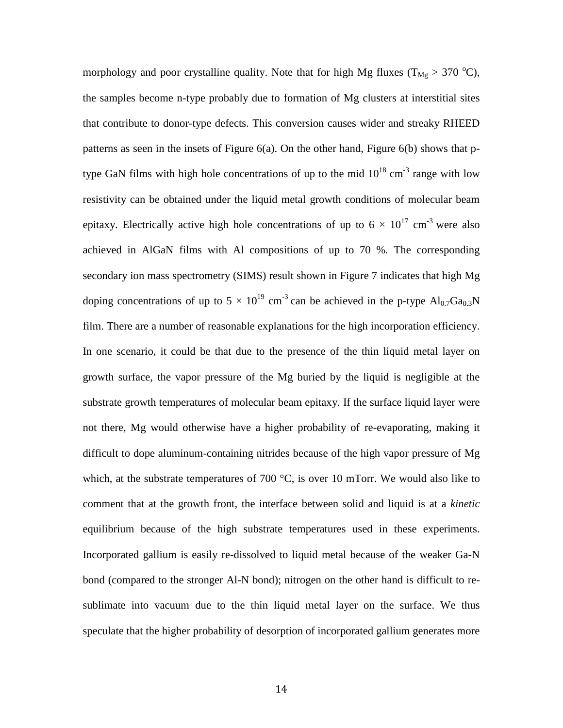morphology and poor crystalline quality. Note that for high Mg fluxes ( $T_{Mg} > 370$  °C), the samples become n-type probably due to formation of Mg clusters at interstitial sites that contribute to donor-type defects. This conversion causes wider and streaky RHEED patterns as seen in the insets of Figure  $6(a)$ . On the other hand, Figure  $6(b)$  shows that ptype GaN films with high hole concentrations of up to the mid  $10^{18}$  cm<sup>-3</sup> range with low resistivity can be obtained under the liquid metal growth conditions of molecular beam epitaxy. Electrically active high hole concentrations of up to  $6 \times 10^{17}$  cm<sup>-3</sup> were also achieved in AlGaN films with Al compositions of up to 70 %. The corresponding secondary ion mass spectrometry (SIMS) result shown in Figure 7 indicates that high Mg doping concentrations of up to  $5 \times 10^{19}$  cm<sup>-3</sup> can be achieved in the p-type  $Al_{0.7}Ga_{0.3}N$ film. There are a number of reasonable explanations for the high incorporation efficiency. In one scenario, it could be that due to the presence of the thin liquid metal layer on growth surface, the vapor pressure of the Mg buried by the liquid is negligible at the substrate growth temperatures of molecular beam epitaxy. If the surface liquid layer were not there, Mg would otherwise have a higher probability of re-evaporating, making it difficult to dope aluminum-containing nitrides because of the high vapor pressure of Mg which, at the substrate temperatures of 700  $^{\circ}$ C, is over 10 mTorr. We would also like to comment that at the growth front, the interface between solid and liquid is at a *kinetic* equilibrium because of the high substrate temperatures used in these experiments. Incorporated gallium is easily re-dissolved to liquid metal because of the weaker Ga-N bond (compared to the stronger Al-N bond); nitrogen on the other hand is difficult to resublimate into vacuum due to the thin liquid metal layer on the surface. We thus speculate that the higher probability of desorption of incorporated gallium generates more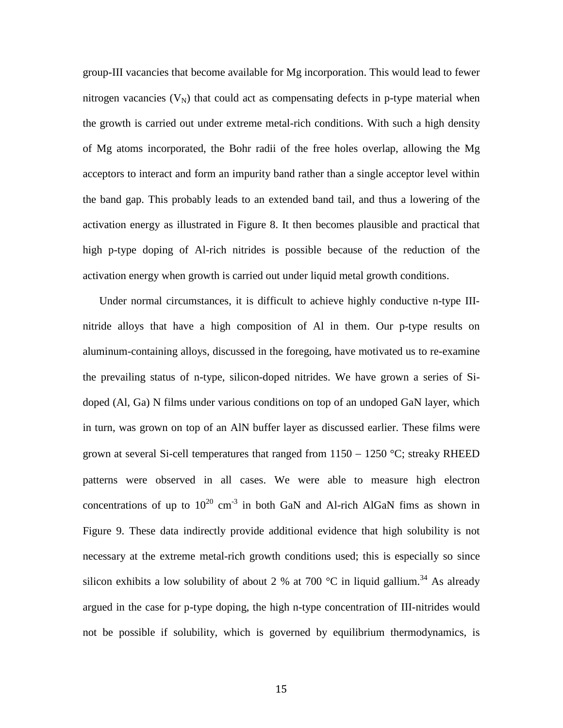group-III vacancies that become available for Mg incorporation. This would lead to fewer nitrogen vacancies  $(V_N)$  that could act as compensating defects in p-type material when the growth is carried out under extreme metal-rich conditions. With such a high density of Mg atoms incorporated, the Bohr radii of the free holes overlap, allowing the Mg acceptors to interact and form an impurity band rather than a single acceptor level within the band gap. This probably leads to an extended band tail, and thus a lowering of the activation energy as illustrated in Figure 8. It then becomes plausible and practical that high p-type doping of Al-rich nitrides is possible because of the reduction of the activation energy when growth is carried out under liquid metal growth conditions.

Under normal circumstances, it is difficult to achieve highly conductive n-type IIInitride alloys that have a high composition of Al in them. Our p-type results on aluminum-containing alloys, discussed in the foregoing, have motivated us to re-examine the prevailing status of n-type, silicon-doped nitrides. We have grown a series of Sidoped (Al, Ga) N films under various conditions on top of an undoped GaN layer, which in turn, was grown on top of an AlN buffer layer as discussed earlier. These films were grown at several Si-cell temperatures that ranged from  $1150 - 1250$  °C; streaky RHEED patterns were observed in all cases. We were able to measure high electron concentrations of up to  $10^{20}$  cm<sup>-3</sup> in both GaN and Al-rich AlGaN fims as shown in Figure 9. These data indirectly provide additional evidence that high solubility is not necessary at the extreme metal-rich growth conditions used; this is especially so since silicon exhibits a low solubility of about 2 % at 700  $^{\circ}$ C in liquid gallium.<sup>34</sup> As already argued in the case for p-type doping, the high n-type concentration of III-nitrides would not be possible if solubility, which is governed by equilibrium thermodynamics, is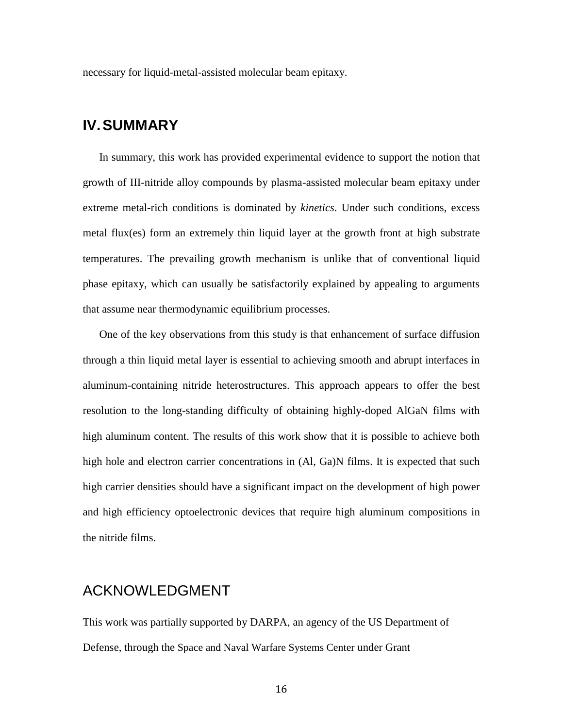necessary for liquid-metal-assisted molecular beam epitaxy.

## **IV.SUMMARY**

In summary, this work has provided experimental evidence to support the notion that growth of III-nitride alloy compounds by plasma-assisted molecular beam epitaxy under extreme metal-rich conditions is dominated by *kinetics*. Under such conditions, excess metal flux(es) form an extremely thin liquid layer at the growth front at high substrate temperatures. The prevailing growth mechanism is unlike that of conventional liquid phase epitaxy, which can usually be satisfactorily explained by appealing to arguments that assume near thermodynamic equilibrium processes.

One of the key observations from this study is that enhancement of surface diffusion through a thin liquid metal layer is essential to achieving smooth and abrupt interfaces in aluminum-containing nitride heterostructures. This approach appears to offer the best resolution to the long-standing difficulty of obtaining highly-doped AlGaN films with high aluminum content. The results of this work show that it is possible to achieve both high hole and electron carrier concentrations in  $(A, Ga)$ N films. It is expected that such high carrier densities should have a significant impact on the development of high power and high efficiency optoelectronic devices that require high aluminum compositions in the nitride films.

## ACKNOWLEDGMENT

This work was partially supported by DARPA, an agency of the US Department of Defense, through the Space and Naval Warfare Systems Center under Grant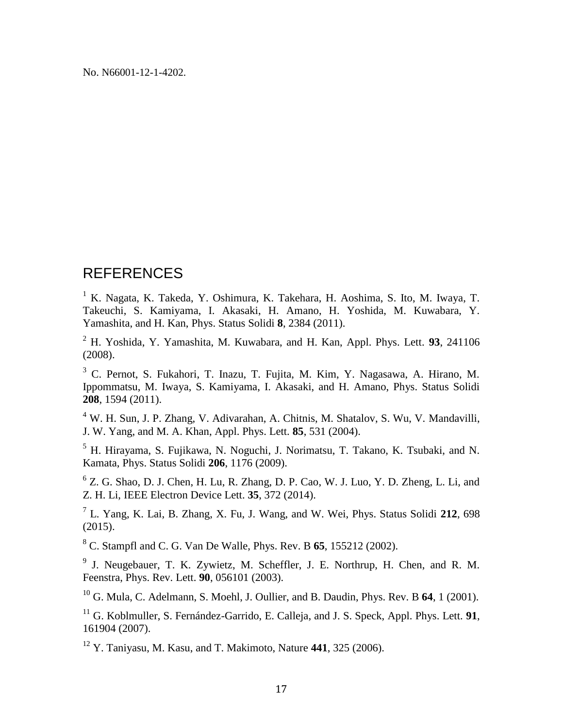No. N66001-12-1-4202.

## REFERENCES

<sup>1</sup> K. Nagata, K. Takeda, Y. Oshimura, K. Takehara, H. Aoshima, S. Ito, M. Iwaya, T. Takeuchi, S. Kamiyama, I. Akasaki, H. Amano, H. Yoshida, M. Kuwabara, Y. Yamashita, and H. Kan, Phys. Status Solidi **8**, 2384 (2011).

<sup>2</sup> H. Yoshida, Y. Yamashita, M. Kuwabara, and H. Kan, Appl. Phys. Lett. **93**, 241106 (2008).

<sup>3</sup> C. Pernot, S. Fukahori, T. Inazu, T. Fujita, M. Kim, Y. Nagasawa, A. Hirano, M. Ippommatsu, M. Iwaya, S. Kamiyama, I. Akasaki, and H. Amano, Phys. Status Solidi **208**, 1594 (2011).

<sup>4</sup> W. H. Sun, J. P. Zhang, V. Adivarahan, A. Chitnis, M. Shatalov, S. Wu, V. Mandavilli, J. W. Yang, and M. A. Khan, Appl. Phys. Lett. **85**, 531 (2004).

<sup>5</sup> H. Hirayama, S. Fujikawa, N. Noguchi, J. Norimatsu, T. Takano, K. Tsubaki, and N. Kamata, Phys. Status Solidi **206**, 1176 (2009).

6 Z. G. Shao, D. J. Chen, H. Lu, R. Zhang, D. P. Cao, W. J. Luo, Y. D. Zheng, L. Li, and Z. H. Li, IEEE Electron Device Lett. **35**, 372 (2014).

7 L. Yang, K. Lai, B. Zhang, X. Fu, J. Wang, and W. Wei, Phys. Status Solidi **212**, 698 (2015).

<sup>8</sup> C. Stampfl and C. G. Van De Walle, Phys. Rev. B **65**, 155212 (2002).

<sup>9</sup> J. Neugebauer, T. K. Zywietz, M. Scheffler, J. E. Northrup, H. Chen, and R. M. Feenstra, Phys. Rev. Lett. **90**, 056101 (2003).

<sup>10</sup> G. Mula, C. Adelmann, S. Moehl, J. Oullier, and B. Daudin, Phys. Rev. B **64**, 1 (2001).

<sup>11</sup> G. Koblmuller, S. Fernández-Garrido, E. Calleja, and J. S. Speck, Appl. Phys. Lett. **91**, 161904 (2007).

<sup>12</sup> Y. Taniyasu, M. Kasu, and T. Makimoto, Nature **441**, 325 (2006).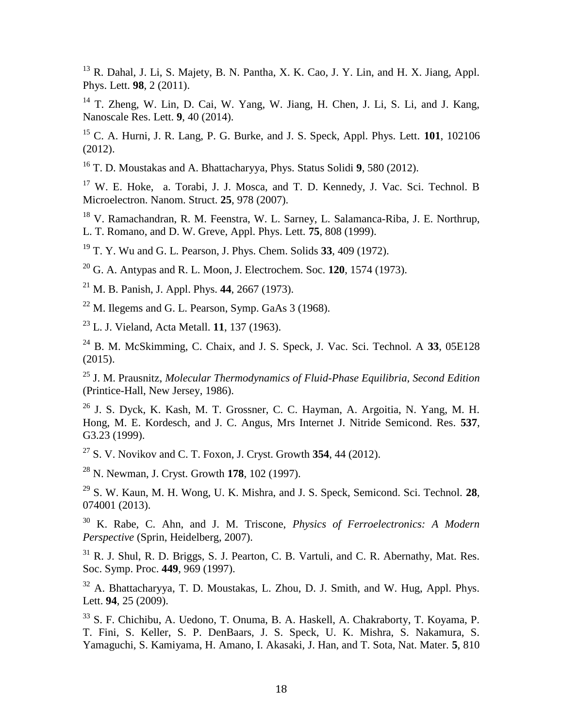$13$  R. Dahal, J. Li, S. Majety, B. N. Pantha, X. K. Cao, J. Y. Lin, and H. X. Jiang, Appl. Phys. Lett. **98**, 2 (2011).

<sup>14</sup> T. Zheng, W. Lin, D. Cai, W. Yang, W. Jiang, H. Chen, J. Li, S. Li, and J. Kang, Nanoscale Res. Lett. **9**, 40 (2014).

<sup>15</sup> C. A. Hurni, J. R. Lang, P. G. Burke, and J. S. Speck, Appl. Phys. Lett. **101**, 102106 (2012).

<sup>16</sup> T. D. Moustakas and A. Bhattacharyya, Phys. Status Solidi **9**, 580 (2012).

<sup>17</sup> W. E. Hoke, a. Torabi, J. J. Mosca, and T. D. Kennedy, J. Vac. Sci. Technol. B Microelectron. Nanom. Struct. **25**, 978 (2007).

<sup>18</sup> V. Ramachandran, R. M. Feenstra, W. L. Sarney, L. Salamanca-Riba, J. E. Northrup, L. T. Romano, and D. W. Greve, Appl. Phys. Lett. **75**, 808 (1999).

<sup>19</sup> T. Y. Wu and G. L. Pearson, J. Phys. Chem. Solids **33**, 409 (1972).

<sup>20</sup> G. A. Antypas and R. L. Moon, J. Electrochem. Soc. **120**, 1574 (1973).

<sup>21</sup> M. B. Panish, J. Appl. Phys. **44**, 2667 (1973).

 $22$  M. Ilegems and G. L. Pearson, Symp. GaAs 3 (1968).

<sup>23</sup> L. J. Vieland, Acta Metall. **11**, 137 (1963).

<sup>24</sup> B. M. McSkimming, C. Chaix, and J. S. Speck, J. Vac. Sci. Technol. A **33**, 05E128 (2015).

<sup>25</sup> J. M. Prausnitz, *Molecular Thermodynamics of Fluid-Phase Equilibria, Second Edition* (Printice-Hall, New Jersey, 1986).

<sup>26</sup> J. S. Dyck, K. Kash, M. T. Grossner, C. C. Hayman, A. Argoitia, N. Yang, M. H. Hong, M. E. Kordesch, and J. C. Angus, Mrs Internet J. Nitride Semicond. Res. **537**, G3.23 (1999).

<sup>27</sup> S. V. Novikov and C. T. Foxon, J. Cryst. Growth **354**, 44 (2012).

<sup>28</sup> N. Newman, J. Cryst. Growth **178**, 102 (1997).

<sup>29</sup> S. W. Kaun, M. H. Wong, U. K. Mishra, and J. S. Speck, Semicond. Sci. Technol. **28**, 074001 (2013).

<sup>30</sup> K. Rabe, C. Ahn, and J. M. Triscone, *Physics of Ferroelectronics: A Modern Perspective* (Sprin, Heidelberg, 2007).

 $31$  R. J. Shul, R. D. Briggs, S. J. Pearton, C. B. Vartuli, and C. R. Abernathy, Mat. Res. Soc. Symp. Proc. **449**, 969 (1997).

<sup>32</sup> A. Bhattacharyya, T. D. Moustakas, L. Zhou, D. J. Smith, and W. Hug, Appl. Phys. Lett. **94**, 25 (2009).

<sup>33</sup> S. F. Chichibu, A. Uedono, T. Onuma, B. A. Haskell, A. Chakraborty, T. Koyama, P. T. Fini, S. Keller, S. P. DenBaars, J. S. Speck, U. K. Mishra, S. Nakamura, S. Yamaguchi, S. Kamiyama, H. Amano, I. Akasaki, J. Han, and T. Sota, Nat. Mater. **5**, 810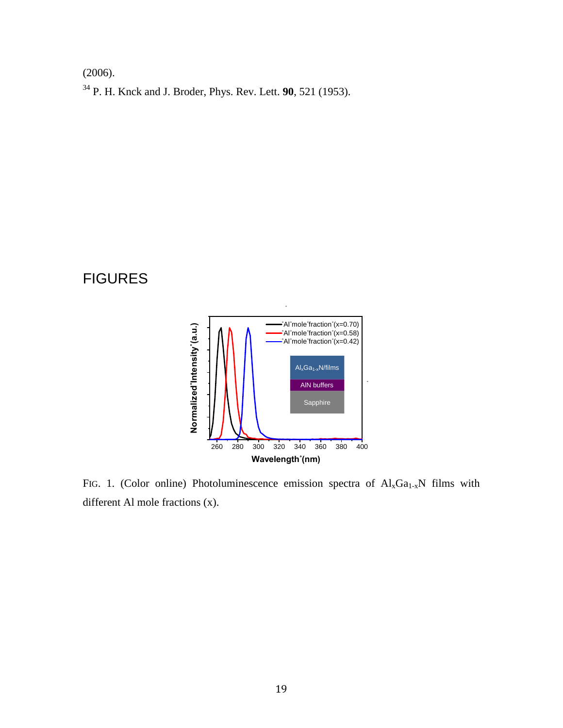(2006).

<sup>34</sup> P. H. Knck and J. Broder, Phys. Rev. Lett. **90**, 521 (1953).

## FIGURES



FIG. 1. (Color online) Photoluminescence emission spectra of  $Al_xGa_{1-x}N$  films with different Al mole fractions (x).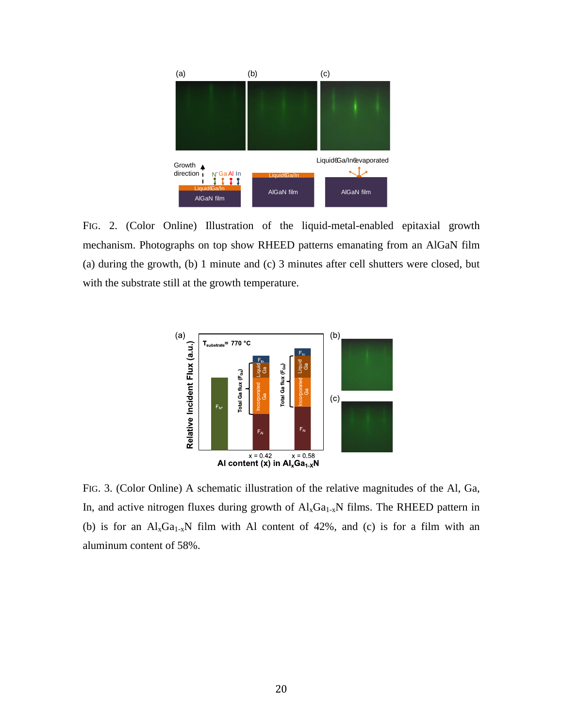

FIG. 2. (Color Online) Illustration of the liquid-metal-enabled epitaxial growth mechanism. Photographs on top show RHEED patterns emanating from an AlGaN film (a) during the growth, (b) 1 minute and (c) 3 minutes after cell shutters were closed, but with the substrate still at the growth temperature.



FIG. 3. (Color Online) A schematic illustration of the relative magnitudes of the Al, Ga, In, and active nitrogen fluxes during growth of  $\text{Al}_x\text{Ga}_{1-x}\text{N}$  films. The RHEED pattern in (b) is for an  $Al_xGa_{1-x}N$  film with Al content of 42%, and (c) is for a film with an aluminum content of 58%.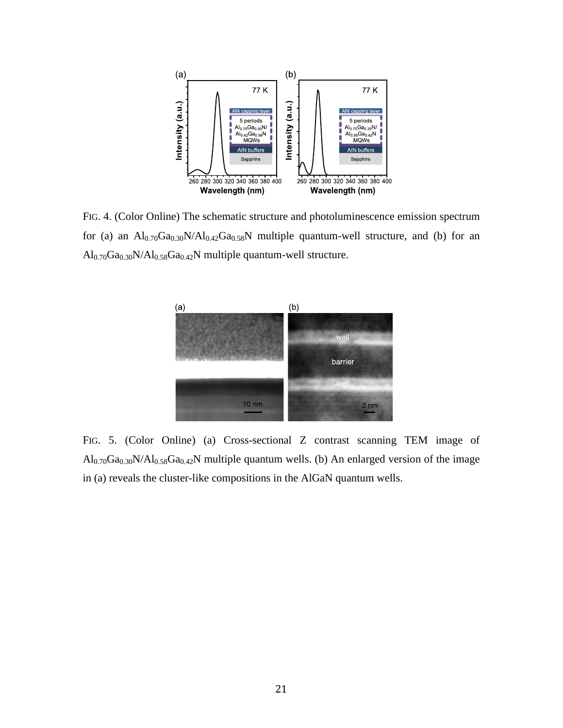

FIG. 4. (Color Online) The schematic structure and photoluminescence emission spectrum for (a) an  $Al_{0.70}Ga_{0.30}N/Al_{0.42}Ga_{0.58}N$  multiple quantum-well structure, and (b) for an  $Al_{0.70}Ga_{0.30}N/Al_{0.58}Ga_{0.42}N$  multiple quantum-well structure.



FIG. 5. (Color Online) (a) Cross-sectional Z contrast scanning TEM image of  $Al_{0.70}Ga_{0.30}N/Al_{0.58}Ga_{0.42}N$  multiple quantum wells. (b) An enlarged version of the image in (a) reveals the cluster-like compositions in the AlGaN quantum wells.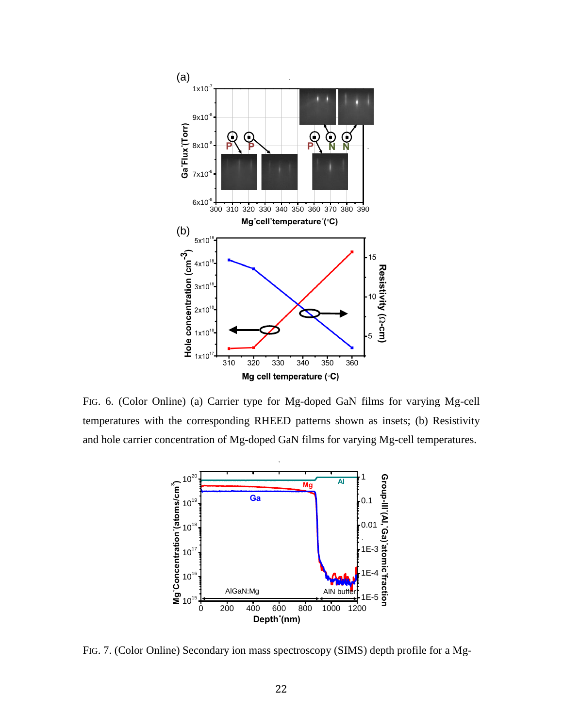

FIG. 6. (Color Online) (a) Carrier type for Mg-doped GaN films for varying Mg-cell temperatures with the corresponding RHEED patterns shown as insets; (b) Resistivity and hole carrier concentration of Mg-doped GaN films for varying Mg-cell temperatures.



FIG. 7. (Color Online) Secondary ion mass spectroscopy (SIMS) depth profile for a Mg-